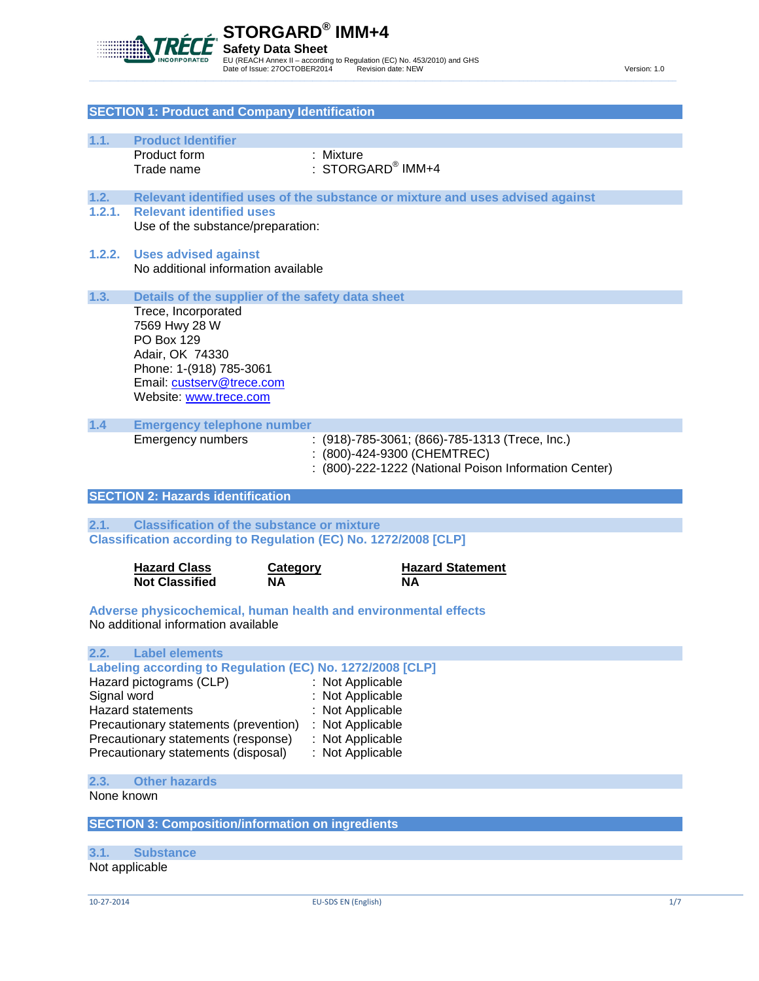

|                                                                            | <b>SECTION 1: Product and Company Identification</b>                                                   |                 |                                                                               |  |
|----------------------------------------------------------------------------|--------------------------------------------------------------------------------------------------------|-----------------|-------------------------------------------------------------------------------|--|
|                                                                            |                                                                                                        |                 |                                                                               |  |
| 1.1.                                                                       | <b>Product Identifier</b><br>Product form                                                              | : Mixture       |                                                                               |  |
|                                                                            | Trade name                                                                                             |                 | $:$ STORGARD® IMM+4                                                           |  |
|                                                                            |                                                                                                        |                 |                                                                               |  |
| 1.2.                                                                       |                                                                                                        |                 | Relevant identified uses of the substance or mixture and uses advised against |  |
| 1.2.1.                                                                     | <b>Relevant identified uses</b><br>Use of the substance/preparation:                                   |                 |                                                                               |  |
|                                                                            |                                                                                                        |                 |                                                                               |  |
| 1.2.2.                                                                     | <b>Uses advised against</b>                                                                            |                 |                                                                               |  |
|                                                                            | No additional information available                                                                    |                 |                                                                               |  |
| 1.3.                                                                       | Details of the supplier of the safety data sheet                                                       |                 |                                                                               |  |
|                                                                            | Trece, Incorporated                                                                                    |                 |                                                                               |  |
|                                                                            | 7569 Hwy 28 W                                                                                          |                 |                                                                               |  |
|                                                                            | <b>PO Box 129</b>                                                                                      |                 |                                                                               |  |
|                                                                            | Adair, OK 74330<br>Phone: 1-(918) 785-3061                                                             |                 |                                                                               |  |
|                                                                            | Email: custserv@trece.com                                                                              |                 |                                                                               |  |
|                                                                            | Website: www.trece.com                                                                                 |                 |                                                                               |  |
|                                                                            |                                                                                                        |                 |                                                                               |  |
| $1.4$                                                                      | <b>Emergency telephone number</b><br><b>Emergency numbers</b>                                          |                 | : (918)-785-3061; (866)-785-1313 (Trece, Inc.)                                |  |
|                                                                            |                                                                                                        |                 | : (800)-424-9300 (CHEMTREC)                                                   |  |
|                                                                            |                                                                                                        |                 | : (800)-222-1222 (National Poison Information Center)                         |  |
|                                                                            | <b>SECTION 2: Hazards identification</b>                                                               |                 |                                                                               |  |
|                                                                            |                                                                                                        |                 |                                                                               |  |
| 2.1.                                                                       | <b>Classification of the substance or mixture</b>                                                      |                 |                                                                               |  |
|                                                                            | Classification according to Regulation (EC) No. 1272/2008 [CLP]                                        |                 |                                                                               |  |
|                                                                            | <b>Hazard Class</b>                                                                                    | <b>Category</b> | <b>Hazard Statement</b>                                                       |  |
|                                                                            | <b>Not Classified</b>                                                                                  | ΝA              | <b>NA</b>                                                                     |  |
|                                                                            |                                                                                                        |                 |                                                                               |  |
|                                                                            | Adverse physicochemical, human health and environmental effects<br>No additional information available |                 |                                                                               |  |
|                                                                            |                                                                                                        |                 |                                                                               |  |
| 2.2.                                                                       | <b>Label elements</b>                                                                                  |                 |                                                                               |  |
|                                                                            | Labeling according to Regulation (EC) No. 1272/2008 [CLP]                                              |                 |                                                                               |  |
| Hazard pictograms (CLP)<br>Not Applicable<br>Signal word<br>Not Applicable |                                                                                                        |                 |                                                                               |  |
| <b>Hazard statements</b><br>Not Applicable                                 |                                                                                                        |                 |                                                                               |  |
| Precautionary statements (prevention)<br>Not Applicable                    |                                                                                                        |                 |                                                                               |  |
| : Not Applicable<br>Precautionary statements (response)                    |                                                                                                        |                 |                                                                               |  |
| Precautionary statements (disposal)<br>: Not Applicable                    |                                                                                                        |                 |                                                                               |  |
| <b>Other hazards</b><br>2.3.                                               |                                                                                                        |                 |                                                                               |  |
|                                                                            |                                                                                                        |                 |                                                                               |  |
| None known                                                                 |                                                                                                        |                 |                                                                               |  |

**SECTION 3: Composition/information on ingredients**

# **3.1. Substance**

Not applicable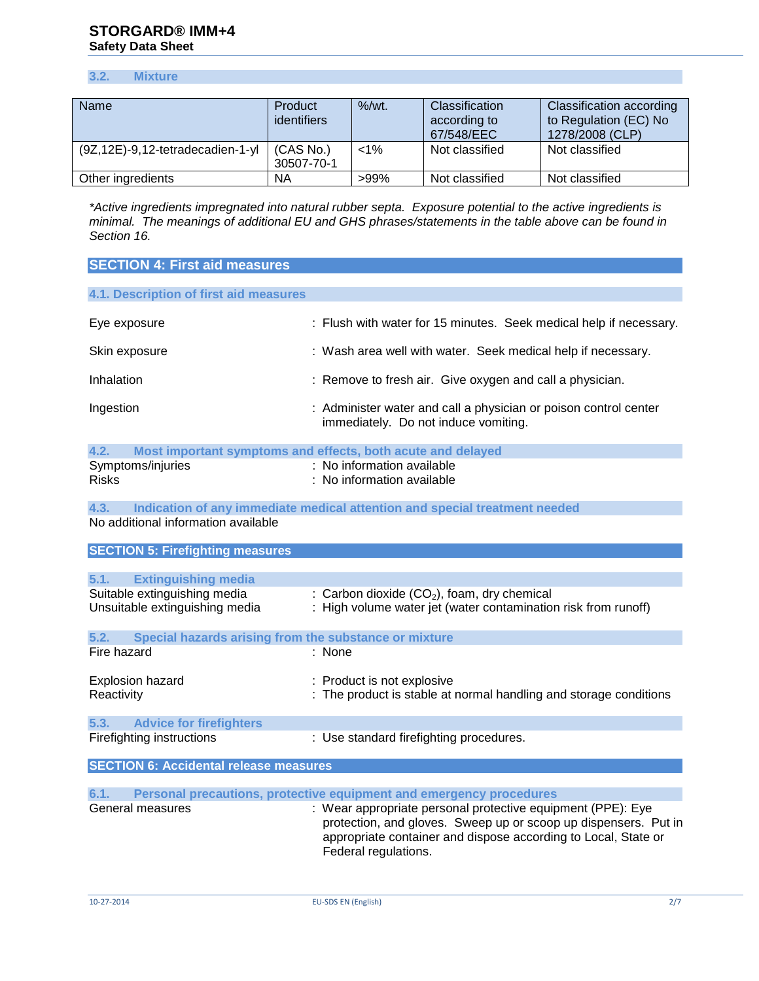# **3.2. Mixture**

| <b>Name</b>                            | Product<br>identifiers  | $%$ /wt. | Classification<br>according to<br>67/548/EEC | <b>Classification according</b><br>to Regulation (EC) No<br>1278/2008 (CLP) |
|----------------------------------------|-------------------------|----------|----------------------------------------------|-----------------------------------------------------------------------------|
| $(9Z, 12E) - 9, 12-tetradecadien-1-yl$ | (CAS No.)<br>30507-70-1 | $< 1\%$  | Not classified                               | Not classified                                                              |
| Other ingredients                      | ΝA                      | >99%     | Not classified                               | Not classified                                                              |

*\*Active ingredients impregnated into natural rubber septa. Exposure potential to the active ingredients is minimal. The meanings of additional EU and GHS phrases/statements in the table above can be found in Section 16.*

| <b>SECTION 4: First aid measures</b>                           |                                                                                                                                                                                                                          |  |  |  |
|----------------------------------------------------------------|--------------------------------------------------------------------------------------------------------------------------------------------------------------------------------------------------------------------------|--|--|--|
| 4.1. Description of first aid measures                         |                                                                                                                                                                                                                          |  |  |  |
| Eye exposure                                                   | : Flush with water for 15 minutes. Seek medical help if necessary.                                                                                                                                                       |  |  |  |
| Skin exposure                                                  | : Wash area well with water. Seek medical help if necessary.                                                                                                                                                             |  |  |  |
| Inhalation                                                     | : Remove to fresh air. Give oxygen and call a physician.                                                                                                                                                                 |  |  |  |
| Ingestion                                                      | : Administer water and call a physician or poison control center<br>immediately. Do not induce vomiting.                                                                                                                 |  |  |  |
| 4.2.                                                           | Most important symptoms and effects, both acute and delayed                                                                                                                                                              |  |  |  |
| Symptoms/injuries<br><b>Risks</b>                              | : No information available<br>: No information available                                                                                                                                                                 |  |  |  |
| 4.3.<br>No additional information available                    | Indication of any immediate medical attention and special treatment needed                                                                                                                                               |  |  |  |
| <b>SECTION 5: Firefighting measures</b>                        |                                                                                                                                                                                                                          |  |  |  |
| <b>Extinguishing media</b><br>5.1.                             |                                                                                                                                                                                                                          |  |  |  |
| Suitable extinguishing media<br>Unsuitable extinguishing media | : Carbon dioxide $(CO2)$ , foam, dry chemical<br>High volume water jet (water contamination risk from runoff)                                                                                                            |  |  |  |
| 5.2.<br>Special hazards arising from the substance or mixture  |                                                                                                                                                                                                                          |  |  |  |
| Fire hazard                                                    | : None                                                                                                                                                                                                                   |  |  |  |
| <b>Explosion hazard</b><br>Reactivity                          | : Product is not explosive<br>The product is stable at normal handling and storage conditions                                                                                                                            |  |  |  |
| <b>Advice for firefighters</b><br>5.3.                         |                                                                                                                                                                                                                          |  |  |  |
| Firefighting instructions                                      | : Use standard firefighting procedures.                                                                                                                                                                                  |  |  |  |
| <b>SECTION 6: Accidental release measures</b>                  |                                                                                                                                                                                                                          |  |  |  |
| 6.1.                                                           | Personal precautions, protective equipment and emergency procedures                                                                                                                                                      |  |  |  |
| General measures                                               | : Wear appropriate personal protective equipment (PPE): Eye<br>protection, and gloves. Sweep up or scoop up dispensers. Put in<br>appropriate container and dispose according to Local, State or<br>Federal regulations. |  |  |  |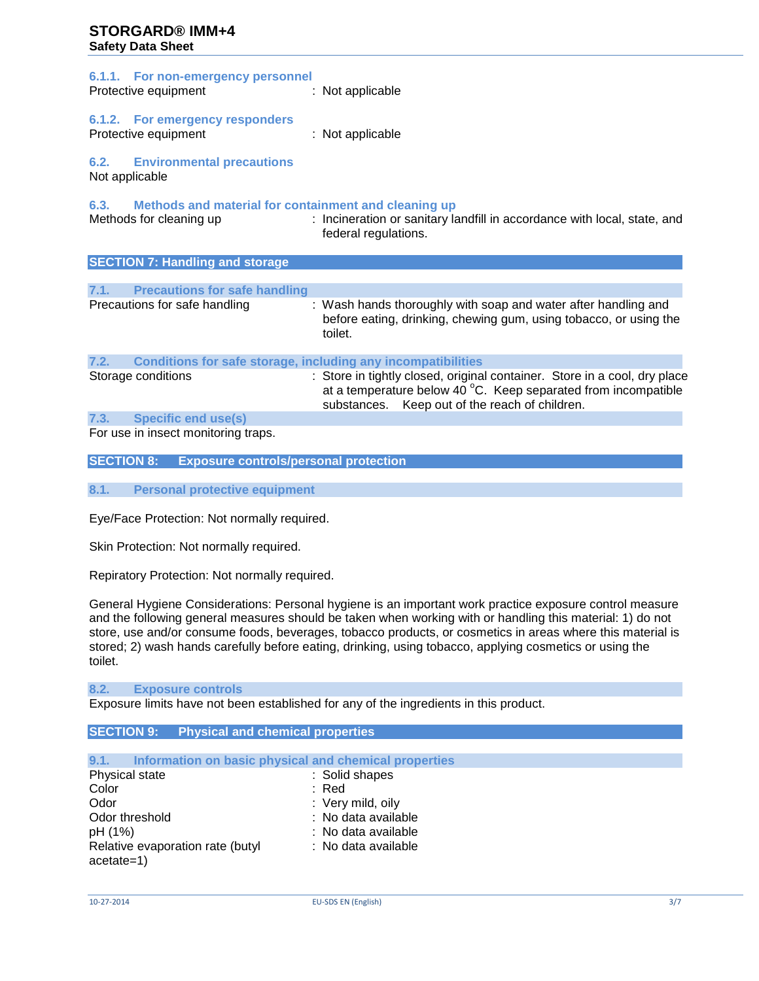| 6.1.1. For non-emergency personnel<br>Protective equipment                           | : Not applicable     |                                                                                                                                                                                                         |  |
|--------------------------------------------------------------------------------------|----------------------|---------------------------------------------------------------------------------------------------------------------------------------------------------------------------------------------------------|--|
| 6.1.2. For emergency responders<br>Protective equipment                              | : Not applicable     |                                                                                                                                                                                                         |  |
| <b>6.2. Environmental precautions</b><br>Not applicable                              |                      |                                                                                                                                                                                                         |  |
| 6.3. Methods and material for containment and cleaning up<br>Methods for cleaning up | federal regulations. | : Incineration or sanitary landfill in accordance with local, state, and                                                                                                                                |  |
| <b>SECTION 7: Handling and storage</b>                                               |                      |                                                                                                                                                                                                         |  |
| 7.1. Precautions for safe handling                                                   |                      |                                                                                                                                                                                                         |  |
| Precautions for safe handling                                                        | toilet.              | : Wash hands thoroughly with soap and water after handling and<br>before eating, drinking, chewing gum, using tobacco, or using the                                                                     |  |
| 7.2. Conditions for safe storage, including any incompatibilities                    |                      |                                                                                                                                                                                                         |  |
| Storage conditions                                                                   |                      | : Store in tightly closed, original container. Store in a cool, dry place<br>at a temperature below 40 $^{\circ}$ C. Keep separated from incompatible<br>substances. Keep out of the reach of children. |  |

# **7.3. Specific end use(s)**

For use in insect monitoring traps.

**SECTION 8: Exposure controls/personal protection**

**8.1. Personal protective equipment**

Eye/Face Protection: Not normally required.

Skin Protection: Not normally required.

Repiratory Protection: Not normally required.

General Hygiene Considerations: Personal hygiene is an important work practice exposure control measure and the following general measures should be taken when working with or handling this material: 1) do not store, use and/or consume foods, beverages, tobacco products, or cosmetics in areas where this material is stored; 2) wash hands carefully before eating, drinking, using tobacco, applying cosmetics or using the toilet.

#### **8.2. Exposure controls**

Exposure limits have not been established for any of the ingredients in this product.

# **SECTION 9: Physical and chemical properties**

| Information on basic physical and chemical properties<br>9.1. |                     |
|---------------------------------------------------------------|---------------------|
| Physical state                                                | : Solid shapes      |
| Color                                                         | : Red               |
| Odor                                                          | : Very mild, oily   |
| Odor threshold                                                | : No data available |
| pH (1%)                                                       | : No data available |
| Relative evaporation rate (butyl<br>$acetate=1)$              | : No data available |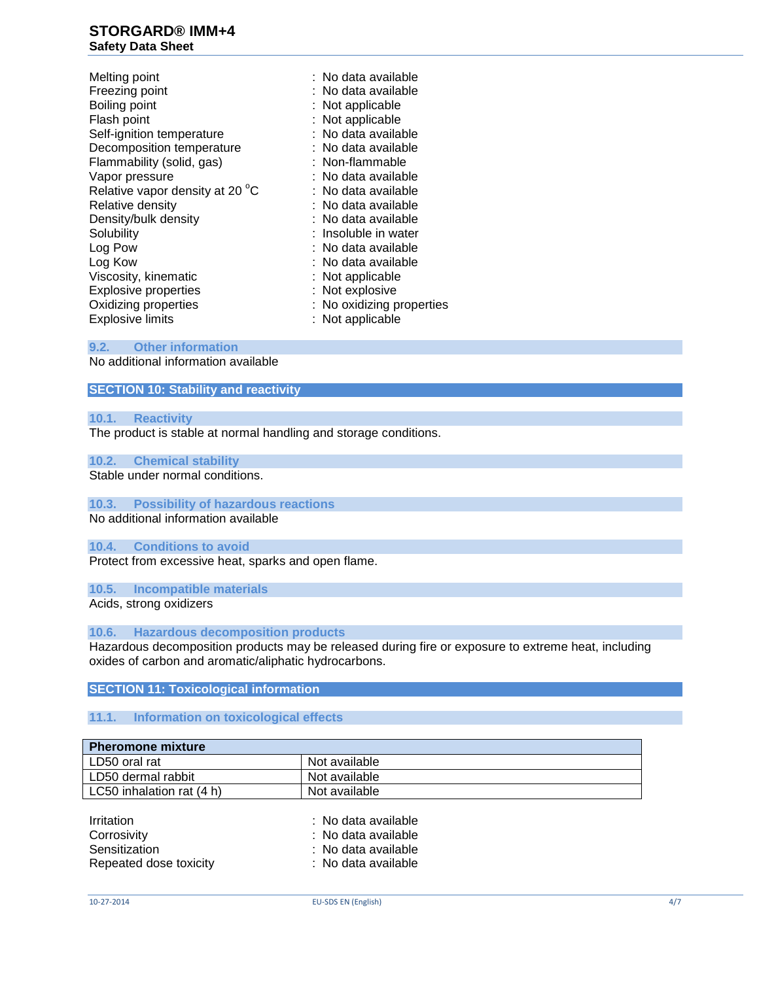Melting point **in the case of the case of the case of the case of the case of the case of the case of the case of the case of the case of the case of the case of the case of the case of the case of the case of the case of** Freezing point : No data available Boiling point **in the contract of the Soling Point Contract Soling Point Contract Soling Point Contract Soling Point Contract Soling Point Contract Soling Point Contract Soling Point Contract Soling Point Contract Soling P** Self-ignition temperature : No data available Decomposition temperature : No data available<br>
Flammability (solid gas) : Non-flammable Flammability (solid, gas) Vapor pressure : No data available Relative vapor density at 20 °C Relative density Density/bulk density **in the set of the contract of the Density**  $\blacksquare$ : No data available Solubility **Solubility** : Insoluble in water<br>
Log Pow **interval in the Contract of Solution**<br>
Solubility **in the Contract of Solution**<br>
In the Contract of Solution Contract in the Contract of Solution Contract in the Contr Log Kow : No data available Viscosity, kinematic<br>
Explosive properties<br>
Explosive intervals<br>
Explosive<br>
Contract Abbrevia Contract Abbrevia Contract Abbrevia<br>
Contract Abbrevia Contract Abbrevia<br>
Contract Abbrevia Contract Abbrevia<br>
Contract Abbrevia Explosive properties Oxidizing properties **in the Contract Contract Contract Contract Contract Contract Contract Contract Contract Contract Contract Contract Contract Contract Contract Contract Contract Contract Contract Contract Contract Cont** Explosive limits : Not applicable

: Not applicable : No data available<br>: No data available : No data available

- 
- **9.2. Other information**

No additional information available

# **SECTION 10: Stability and reactivity**

#### **10.1. Reactivity**

The product is stable at normal handling and storage conditions.

#### **10.2. Chemical stability**

Stable under normal conditions.

# **10.3. Possibility of hazardous reactions**

No additional information available

#### **10.4. Conditions to avoid**

Protect from excessive heat, sparks and open flame.

#### **10.5. Incompatible materials**

Acids, strong oxidizers

#### **10.6. Hazardous decomposition products**

Hazardous decomposition products may be released during fire or exposure to extreme heat, including oxides of carbon and aromatic/aliphatic hydrocarbons.

#### **SECTION 11: Toxicological information**

# **11.1. Information on toxicological effects**

| <b>Pheromone mixture</b>  |               |  |
|---------------------------|---------------|--|
| LD50 oral rat             | Not available |  |
| LD50 dermal rabbit        | Not available |  |
| LC50 inhalation rat (4 h) | Not available |  |

| : No data available |
|---------------------|
| : No data available |
| : No data available |
| : No data available |
|                     |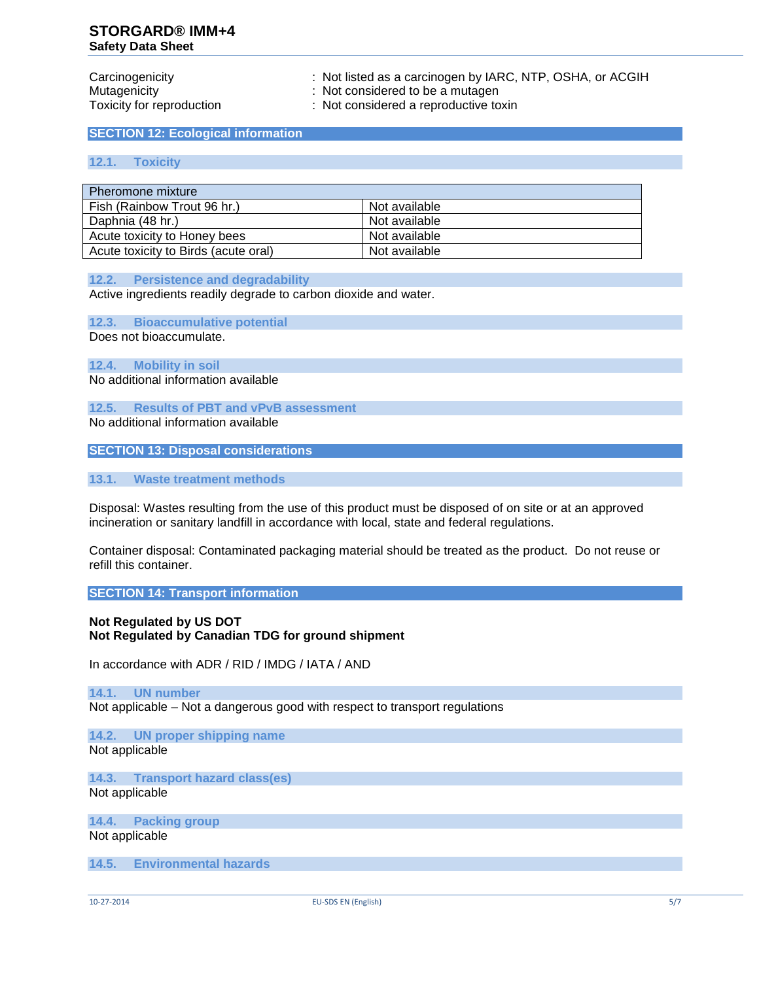Carcinogenicity : Not listed as a carcinogen by IARC, NTP, OSHA, or ACGIH<br>Mutagenicity : Not considered to be a mutagen

: Not considered to be a mutagen

Toxicity for reproduction : Not considered a reproductive toxin

**SECTION 12: Ecological information**

#### **12.1. Toxicity**

| Pheromone mixture                    |               |  |
|--------------------------------------|---------------|--|
| Fish (Rainbow Trout 96 hr.)          | Not available |  |
| Daphnia (48 hr.)                     | Not available |  |
| Acute toxicity to Honey bees         | Not available |  |
| Acute toxicity to Birds (acute oral) | Not available |  |

#### **12.2. Persistence and degradability**

Active ingredients readily degrade to carbon dioxide and water.

**12.3. Bioaccumulative potential**

Does not bioaccumulate.

**12.4. Mobility in soil** No additional information available

**12.5. Results of PBT and vPvB assessment**

No additional information available

**SECTION 13: Disposal considerations**

**13.1. Waste treatment methods**

Disposal: Wastes resulting from the use of this product must be disposed of on site or at an approved incineration or sanitary landfill in accordance with local, state and federal regulations.

Container disposal: Contaminated packaging material should be treated as the product. Do not reuse or refill this container.

**SECTION 14: Transport information**

# **Not Regulated by US DOT Not Regulated by Canadian TDG for ground shipment**

In accordance with ADR / RID / IMDG / IATA / AND

# **14.1. UN number**

Not applicable – Not a dangerous good with respect to transport regulations

**14.2. UN proper shipping name** Not applicable

**14.3. Transport hazard class(es)** Not applicable

**14.4. Packing group** Not applicable

**14.5. Environmental hazards**